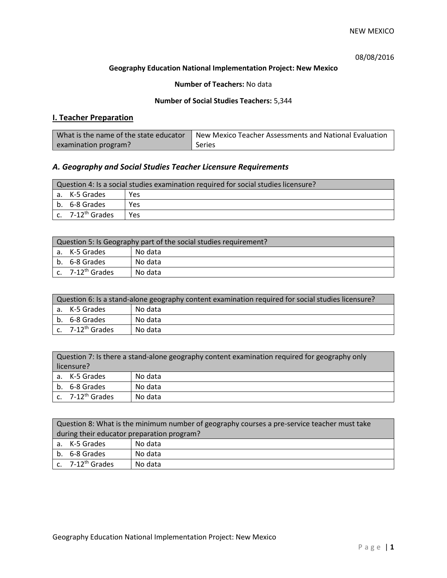# 08/08/2016

## **Geography Education National Implementation Project: New Mexico**

## **Number of Teachers:** No data

### **Number of Social Studies Teachers:** 5,344

# **I. Teacher Preparation**

| What is the name of the state educator | New Mexico Teacher Assessments and National Evaluation |
|----------------------------------------|--------------------------------------------------------|
| examination program?                   | Series                                                 |

# *A. Geography and Social Studies Teacher Licensure Requirements*

| Question 4: Is a social studies examination required for social studies licensure? |     |  |
|------------------------------------------------------------------------------------|-----|--|
| a. K-5 Grades                                                                      | Yes |  |
| b. 6-8 Grades                                                                      | Yes |  |
| c. 7-12 <sup>th</sup> Grades                                                       | Yes |  |

| Question 5: Is Geography part of the social studies requirement? |         |  |
|------------------------------------------------------------------|---------|--|
| l a. K-5 Grades                                                  | No data |  |
| b. 6-8 Grades                                                    | No data |  |
| c. 7-12 <sup>th</sup> Grades                                     | No data |  |

| Question 6: Is a stand-alone geography content examination required for social studies licensure? |         |  |
|---------------------------------------------------------------------------------------------------|---------|--|
| a. K-5 Grades                                                                                     | No data |  |
| b. 6-8 Grades                                                                                     | No data |  |
| c. $7-12^{th}$ Grades                                                                             | No data |  |

| Question 7: Is there a stand-alone geography content examination required for geography only<br>licensure? |         |  |
|------------------------------------------------------------------------------------------------------------|---------|--|
| a. K-5 Grades                                                                                              | No data |  |
| b. 6-8 Grades                                                                                              | No data |  |
| c. $7-12^{th}$ Grades                                                                                      | No data |  |

| Question 8: What is the minimum number of geography courses a pre-service teacher must take |         |  |
|---------------------------------------------------------------------------------------------|---------|--|
| during their educator preparation program?                                                  |         |  |
| a. K-5 Grades                                                                               | No data |  |
| b. 6-8 Grades                                                                               | No data |  |
| c. $7-12^{th}$ Grades                                                                       | No data |  |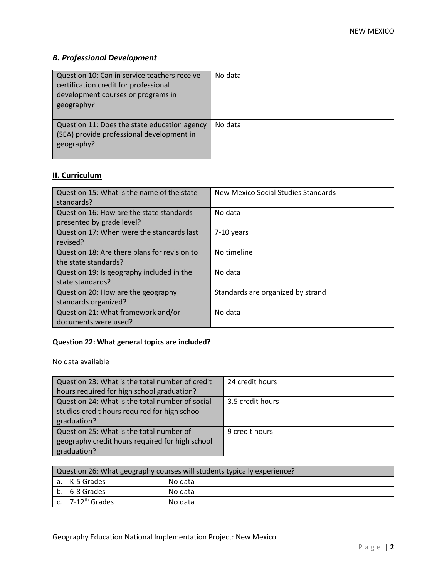# *B. Professional Development*

| Question 10: Can in service teachers receive<br>certification credit for professional<br>development courses or programs in<br>geography? | No data |
|-------------------------------------------------------------------------------------------------------------------------------------------|---------|
| Question 11: Does the state education agency<br>(SEA) provide professional development in<br>geography?                                   | No data |

# **II. Curriculum**

| Question 15: What is the name of the state   | New Mexico Social Studies Standards |
|----------------------------------------------|-------------------------------------|
| standards?                                   |                                     |
| Question 16: How are the state standards     | No data                             |
| presented by grade level?                    |                                     |
| Question 17: When were the standards last    | $7-10$ years                        |
| revised?                                     |                                     |
| Question 18: Are there plans for revision to | No timeline                         |
| the state standards?                         |                                     |
| Question 19: Is geography included in the    | No data                             |
| state standards?                             |                                     |
| Question 20: How are the geography           | Standards are organized by strand   |
| standards organized?                         |                                     |
| Question 21: What framework and/or           | No data                             |
| documents were used?                         |                                     |

# **Question 22: What general topics are included?**

No data available

| Question 23: What is the total number of credit | 24 credit hours  |
|-------------------------------------------------|------------------|
| hours required for high school graduation?      |                  |
| Question 24: What is the total number of social | 3.5 credit hours |
| studies credit hours required for high school   |                  |
| graduation?                                     |                  |
| Question 25: What is the total number of        | 9 credit hours   |
| geography credit hours required for high school |                  |
| graduation?                                     |                  |

| Question 26: What geography courses will students typically experience? |         |  |
|-------------------------------------------------------------------------|---------|--|
| a. K-5 Grades                                                           | No data |  |
| b. 6-8 Grades                                                           | No data |  |
| c. 7-12 <sup>th</sup> Grades                                            | No data |  |